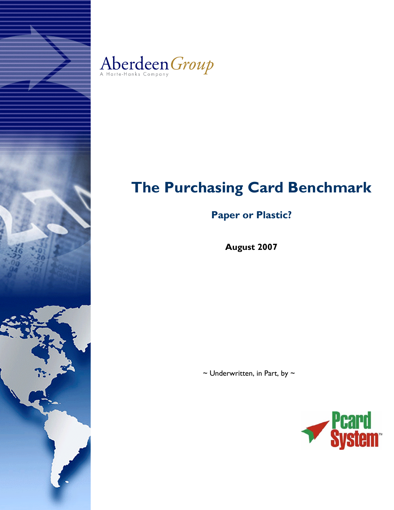



# **The Purchasing Card Benchmark**

# **Paper or Plastic?**

**August 2007**

 $\sim$  Underwritten, in Part, by  $\sim$ 

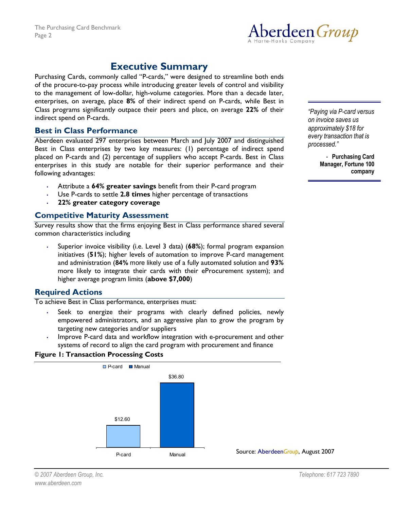

# **Executive Summary**

Purchasing Cards, commonly called "P-cards," were designed to streamline both ends of the procure-to-pay process while introducing greater levels of control and visibility to the management of low-dollar, high-volume categories. More than a decade later, enterprises, on average, place **8%** of their indirect spend on P-cards, while Best in Class programs significantly outpace their peers and place, on average **22%** of their indirect spend on P-cards.

# **Best in Class Performance**

Aberdeen evaluated 297 enterprises between March and July 2007 and distinguished Best in Class enterprises by two key measures: (1) percentage of indirect spend placed on P-cards and (2) percentage of suppliers who accept P-cards. Best in Class enterprises in this study are notable for their superior performance and their following advantages:

- Attribute a **64% greater savings** benefit from their P-card program
- Use P-cards to settle **2.8 times** higher percentage of transactions
- **22% greater category coverage**

# **Competitive Maturity Assessment**

Survey results show that the firms enjoying Best in Class performance shared several common characteristics including

• Superior invoice visibility (i.e. Level 3 data) (**68%**); formal program expansion initiatives (**51%**); higher levels of automation to improve P-card management and administration (**84%** more likely use of a fully automated solution and **93%** more likely to integrate their cards with their eProcurement system); and higher average program limits (**above \$7,000**)

# **Required Actions**

To achieve Best in Class performance, enterprises must:

- Seek to energize their programs with clearly defined policies, newly empowered administrators, and an aggressive plan to grow the program by targeting new categories and/or suppliers
- Improve P-card data and workflow integration with e-procurement and other systems of record to align the card program with procurement and finance

# **Figure 1: Transaction Processing Costs**



*ìPaying via P-card versus on invoice saves us approximately \$18 for every transaction that is processed.î* 

> - **Purchasing Card Manager, Fortune 100 company**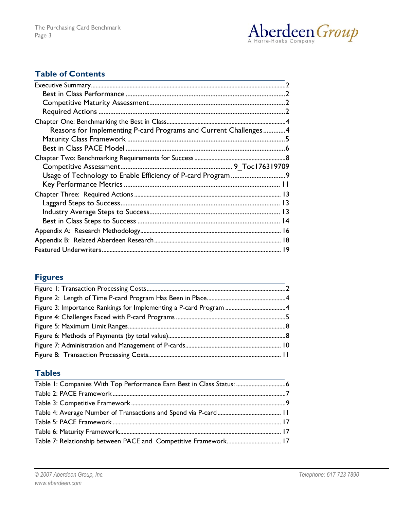

# **Table of Contents**

| Reasons for Implementing P-card Programs and Current Challenges4 |  |
|------------------------------------------------------------------|--|
|                                                                  |  |
|                                                                  |  |
|                                                                  |  |
|                                                                  |  |
|                                                                  |  |
|                                                                  |  |
|                                                                  |  |
|                                                                  |  |
|                                                                  |  |
|                                                                  |  |
|                                                                  |  |
|                                                                  |  |
|                                                                  |  |

# **Figures**

# **Tables**

| Table 1: Companies With Top Performance Earn Best in Class Status:  6 |  |
|-----------------------------------------------------------------------|--|
|                                                                       |  |
|                                                                       |  |
|                                                                       |  |
|                                                                       |  |
|                                                                       |  |
|                                                                       |  |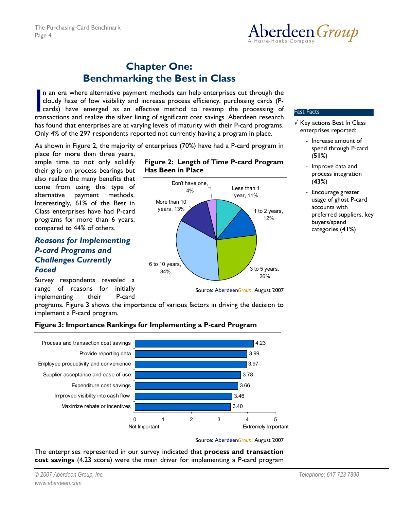

# **Chapter One: Benchmarking the Best in Class**

n an era where alternative payment methods can help enterprises cut through the cloudy haze of low visibility and increase process efficiency, purchasing cards (Pcards) have emerged as an effective method to revamp the processing of transactions and realize the silver lining of significant cost savings. Aberdeen research has found that enterprises are at varying levels of maturity with their P-card programs. Only 4% of the 297 respondents reported not currently having a program in place.  $\overline{\phantom{a}}$ 

As shown in Figure 2, the majority of enterprises (70%) have had a P-card program in

place for more than three years, ample time to not only solidify their grip on process bearings but also realize the many benefits that come from using this type of alternative payment methods. Interestingly, 61% of the Best in Class enterprises have had P-card programs for more than 6 years, compared to 44% of others.

# *Reasons for Implementing P-card Programs and Challenges Currently Faced*

Survey respondents revealed a range of reasons for initially implementing their P-card





### Fast Facts

- √ Key actions Best In Class enterprises reported:
	- Increase amount of spend through P-card (**51%**)
	- Improve data and process integration (**43%**)
	- Encourage greater usage of ghost P-card accounts with preferred suppliers, key buyers/spend categories (**41%**)

programs. Figure 3 shows the importance of various factors in driving the decision to implement a P-card program.



# **Figure 3: Importance Rankings for Implementing a P-card Program**

Source: Aberdeen*Group*, August 2007

The enterprises represented in our survey indicated that **process and transaction cost savings** (4.23 score) were the main driver for implementing a P-card program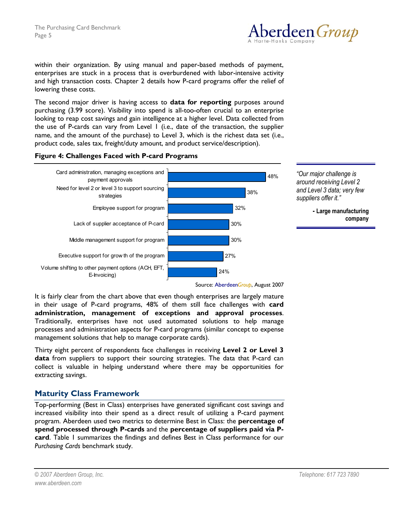

within their organization. By using manual and paper-based methods of payment, enterprises are stuck in a process that is overburdened with labor-intensive activity and high transaction costs. Chapter 2 details how P-card programs offer the relief of lowering these costs.

The second major driver is having access to **data for reporting** purposes around purchasing (3.99 score). Visibility into spend is all-too-often crucial to an enterprise looking to reap cost savings and gain intelligence at a higher level. Data collected from the use of P-cards can vary from Level 1 (i.e., date of the transaction, the supplier name, and the amount of the purchase) to Level 3, which is the richest data set (i.e., product code, sales tax, freight/duty amount, and product service/description).

## **Figure 4: Challenges Faced with P-card Programs**



*ìOur major challenge is around receiving Level 2 and Level 3 data; very few*  suppliers offer it."

> **- Large manufacturing company**

Source: Aberdeen*Group*, August 2007

It is fairly clear from the chart above that even though enterprises are largely mature in their usage of P-card programs, 48% of them still face challenges with **card administration, management of exceptions and approval processes**. Traditionally, enterprises have not used automated solutions to help manage processes and administration aspects for P-card programs (similar concept to expense management solutions that help to manage corporate cards).

Thirty eight percent of respondents face challenges in receiving **Level 2 or Level 3 data** from suppliers to support their sourcing strategies. The data that P-card can collect is valuable in helping understand where there may be opportunities for extracting savings.

# **Maturity Class Framework**

Top-performing (Best in Class) enterprises have generated significant cost savings and increased visibility into their spend as a direct result of utilizing a P-card payment program. Aberdeen used two metrics to determine Best in Class: the **percentage of spend processed through P-cards** and the **percentage of suppliers paid via Pcard**. Table 1 summarizes the findings and defines Best in Class performance for our *Purchasing Cards* benchmark study.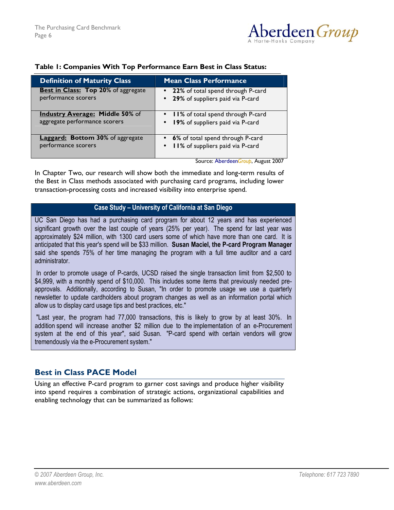

| <b>Definition of Maturity Class</b>        | <b>Mean Class Performance</b>       |
|--------------------------------------------|-------------------------------------|
| <b>Best in Class: Top 20% of aggregate</b> | • 22% of total spend through P-card |
| performance scorers                        | • 29% of suppliers paid via P-card  |
| <b>Industry Average: Middle 50% of</b>     | • II% of total spend through P-card |
| aggregate performance scorers              | • 19% of suppliers paid via P-card  |
| <b>Laggard: Bottom 30%</b> of aggregate    | • 6% of total spend through P-card  |
| performance scorers                        | • II% of suppliers paid via P-card  |

#### **Table 1: Companies With Top Performance Earn Best in Class Status:**

Source: Aberdeen*Group*, August 2007

In Chapter Two, our research will show both the immediate and long-term results of the Best in Class methods associated with purchasing card programs, including lower transaction-processing costs and increased visibility into enterprise spend.

#### **Case Study – University of California at San Diego**

UC San Diego has had a purchasing card program for about 12 years and has experienced significant growth over the last couple of years (25% per year). The spend for last year was approximately \$24 million, with 1300 card users some of which have more than one card. It is anticipated that this year's spend will be \$33 million. **Susan Maciel, the P-card Program Manager** said she spends 75% of her time managing the program with a full time auditor and a card administrator.

 In order to promote usage of P-cards, UCSD raised the single transaction limit from \$2,500 to \$4,999, with a monthly spend of \$10,000. This includes some items that previously needed preapprovals. Additionally, according to Susan, "In order to promote usage we use a quarterly newsletter to update cardholders about program changes as well as an information portal which allow us to display card usage tips and best practices, etc."

 "Last year, the program had 77,000 transactions, this is likely to grow by at least 30%. In addition spend will increase another \$2 million due to the implementation of an e-Procurement system at the end of this year", said Susan. "P-card spend with certain vendors will grow tremendously via the e-Procurement system."

# **Best in Class PACE Model**

Using an effective P-card program to garner cost savings and produce higher visibility into spend requires a combination of strategic actions, organizational capabilities and enabling technology that can be summarized as follows: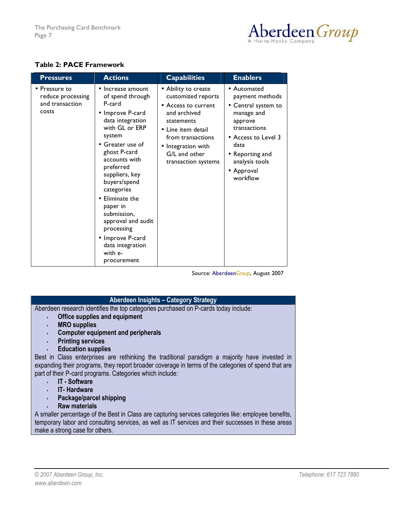

# **Table 2: PACE Framework**

| <b>Pressures</b>                                                       | <b>Actions</b>                                                                                                                                                                                                                                                                                                                                                                        | <b>Capabilities</b>                                                                                                                                                                                     | <b>Enablers</b>                                                                                                                                                                                      |
|------------------------------------------------------------------------|---------------------------------------------------------------------------------------------------------------------------------------------------------------------------------------------------------------------------------------------------------------------------------------------------------------------------------------------------------------------------------------|---------------------------------------------------------------------------------------------------------------------------------------------------------------------------------------------------------|------------------------------------------------------------------------------------------------------------------------------------------------------------------------------------------------------|
| $\bullet$ Pressure to<br>reduce processing<br>and transaction<br>costs | Increase amount<br>of spend through<br>P-card<br>• Improve P-card<br>data integration<br>with GL or ERP<br>system<br>• Greater use of<br>ghost P-card<br>accounts with<br>preferred<br>suppliers, key<br>buyers/spend<br>categories<br>Eliminate the<br>paper in<br>submission,<br>approval and audit<br>processing<br>• Improve P-card<br>data integration<br>with e-<br>procurement | • Ability to create<br>customized reports<br>• Access to current<br>and archived<br>statements<br>• Line item detail<br>from transactions<br>• Integration with<br>G/L and other<br>transaction systems | • Automated<br>payment methods<br>• Central system to<br>manage and<br>approve<br>transactions<br>• Access to Level 3<br>data<br>$\bullet$ Reporting and<br>analysis tools<br>• Approval<br>workflow |

Source: Aberdeen*Group*, August 2007

## **Aberdeen Insights - Category Strategy**

Aberdeen research identifies the top categories purchased on P-cards today include:

- **Office supplies and equipment**
- **MRO supplies**
- **Computer equipment and peripherals**
- **Printing services**
- **Education supplies**

Best in Class enterprises are rethinking the traditional paradigm a majority have invested in expanding their programs, they report broader coverage in terms of the categories of spend that are part of their P-card programs. Categories which include:

- **IT Software**
- **IT- Hardware**
- **Package/parcel shipping**
- **Raw materials**

A smaller percentage of the Best in Class are capturing services categories like: employee benefits, temporary labor and consulting services, as well as IT services and their successes in these areas make a strong case for others.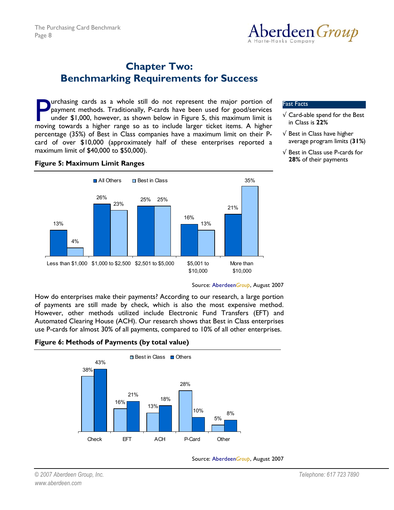

# **Chapter Two: Benchmarking Requirements for Success**

urchasing cards as a whole still do not represent the major portion of payment methods. Traditionally, P-cards have been used for good/services under \$1,000, however, as shown below in Figure 5, this maximum limit is moving towards a higher range so as to include larger ticket items. A higher percentage (35%) of Best in Class companies have a maximum limit on their Pcard of over \$10,000 (approximately half of these enterprises reported a maximum limit of \$40,000 to \$50,000). **Example 19 and Solution** and so as to include larger ticket items. A higher solution of the major portion of payment methods. Traditionally, P-cards have been used for good/services under \$1,000, however, as shown below

## **Figure 5: Maximum Limit Ranges**



- $\sqrt{\phantom{a}}$  Card-able spend for the Best in Class is **22%**
- $\sqrt{ }$  Best in Class have higher average program limits (**31%**)
- √ Best in Class use P-cards for **28%** of their payments

Source: Aberdeen*Group*, August 2007

How do enterprises make their payments? According to our research, a large portion of payments are still made by check, which is also the most expensive method. However, other methods utilized include Electronic Fund Transfers (EFT) and Automated Clearing House (ACH). Our research shows that Best in Class enterprises use P-cards for almost 30% of all payments, compared to 10% of all other enterprises.

**Figure 6: Methods of Payments (by total value)** 



Source: Aberdeen*Group*, August 2007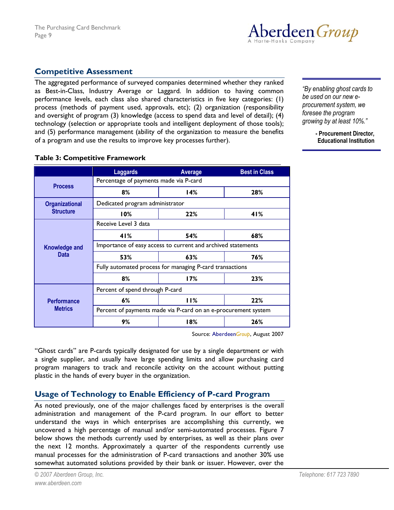

# **Competitive Assessment**

The aggregated performance of surveyed companies determined whether they ranked as Best-in-Class, Industry Average or Laggard. In addition to having common performance levels, each class also shared characteristics in five key categories: (1) process (methods of payment used, approvals, etc); (2) organization (responsibility and oversight of program (3) knowledge (access to spend data and level of detail); (4) technology (selection or appropriate tools and intelligent deployment of those tools); and (5) performance management (ability of the organization to measure the benefits of a program and use the results to improve key processes further).

*ìBy enabling ghost cards to be used on our new eprocurement system, we foresee the program growing by at least 10%.î* 

#### **- Procurement Director, Educational Institution**

## **Table 3: Competitive Framework**

|                                      | Laggards                                                       | Average | <b>Best in Class</b> |  |
|--------------------------------------|----------------------------------------------------------------|---------|----------------------|--|
| <b>Process</b>                       | Percentage of payments made via P-card                         |         |                      |  |
|                                      | 8%                                                             | 14%     | 28%                  |  |
| <b>Organizational</b>                | Dedicated program administrator                                |         |                      |  |
| <b>Structure</b>                     | 10%                                                            | 22%     | 41%                  |  |
| Knowledge and<br><b>Data</b>         | Receive Level 3 data                                           |         |                      |  |
|                                      | 41%                                                            | 54%     | 68%                  |  |
|                                      | Importance of easy access to current and archived statements   |         |                      |  |
|                                      | 53%                                                            | 63%     | 76%                  |  |
|                                      | Fully automated process for managing P-card transactions       |         |                      |  |
|                                      | 8%                                                             | 17%     | 23%                  |  |
|                                      | Percent of spend through P-card                                |         |                      |  |
| <b>Performance</b><br><b>Metrics</b> | 6%                                                             | 11%     | 22%                  |  |
|                                      | Percent of payments made via P-card on an e-procurement system |         |                      |  |
|                                      | 9%                                                             | 18%     | 26%                  |  |

Source: Aberdeen*Group*, August 2007

"Ghost cards" are P-cards typically designated for use by a single department or with a single supplier, and usually have large spending limits and allow purchasing card program managers to track and reconcile activity on the account without putting plastic in the hands of every buyer in the organization.

# **Usage of Technology to Enable Efficiency of P-card Program**

As noted previously, one of the major challenges faced by enterprises is the overall administration and management of the P-card program. In our effort to better understand the ways in which enterprises are accomplishing this currently, we uncovered a high percentage of manual and/or semi-automated processes. Figure 7 below shows the methods currently used by enterprises, as well as their plans over the next 12 months. Approximately a quarter of the respondents currently use manual processes for the administration of P-card transactions and another 30% use somewhat automated solutions provided by their bank or issuer. However, over the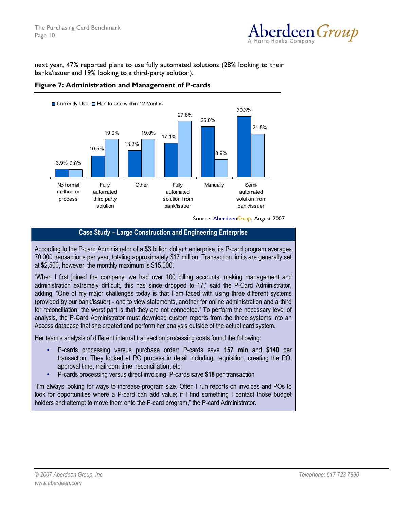

next year, 47% reported plans to use fully automated solutions (28% looking to their banks/issuer and 19% looking to a third-party solution).





Source: Aberdeen*Group*, August 2007

# **Case Study – Large Construction and Engineering Enterprise**

According to the P-card Administrator of a \$3 billion dollar+ enterprise, its P-card program averages 70,000 transactions per year, totaling approximately \$17 million. Transaction limits are generally set at \$2,500, however, the monthly maximum is \$15,000.

ìWhen I first joined the company, we had over 100 billing accounts, making management and administration extremely difficult, this has since dropped to 17," said the P-Card Administrator, adding, "One of my major challenges today is that I am faced with using three different systems (provided by our bank/issuer) - one to view statements, another for online administration and a third for reconciliation; the worst part is that they are not connected." To perform the necessary level of analysis, the P-Card Administrator must download custom reports from the three systems into an Access database that she created and perform her analysis outside of the actual card system.

Her teamís analysis of different internal transaction processing costs found the following:

- P-cards processing versus purchase order: P-cards save **157 min** and **\$140** per transaction. They looked at PO process in detail including, requisition, creating the PO, approval time, mailroom time, reconciliation, etc.
- P-cards processing versus direct invoicing: P-cards save **\$18** per transaction

"I'm always looking for ways to increase program size. Often I run reports on invoices and POs to look for opportunities where a P-card can add value; if I find something I contact those budget holders and attempt to move them onto the P-card program," the P-card Administrator.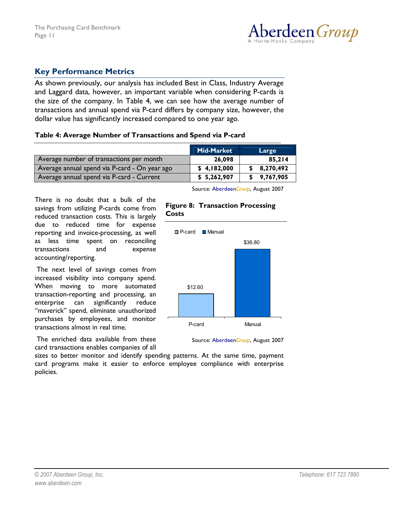

# **Key Performance Metrics**

As shown previously, our analysis has included Best in Class, Industry Average and Laggard data, however, an important variable when considering P-cards is the *size* of the company. In Table 4, we can see how the average number of transactions and annual spend via P-card differs by company size, however, the dollar value has significantly increased compared to one year ago.

#### **Table 4: Average Number of Transactions and Spend via P-card**

|                                               | Mid-Market  | Large       |
|-----------------------------------------------|-------------|-------------|
| Average number of transactions per month      | 26,098      | 85,214      |
| Average annual spend via P-card - On year ago | \$4,182,000 | \$8,270,492 |
| Average annual spend via P-card - Current     | \$5,262,907 | \$9,767,905 |

There is no doubt that a bulk of the savings from utilizing P-cards come from reduced transaction costs. This is largely due to reduced time for expense reporting and invoice-processing, as well as less time spent on reconciling transactions and expense accounting/reporting.

 The next level of savings comes from increased visibility into company spend. When moving to more automated transaction-reporting and processing, an enterprise can significantly reduce "maverick" spend, eliminate unauthorized purchases by employees, and monitor transactions almost in real time.

 The enriched data available from these card transactions enables companies of all Source: Aberdeen*Group*, August 2007

#### **Figure 8: Transaction Processing Costs**



Source: Aberdeen*Group*, August 2007

sizes to better monitor and identify spending patterns. At the same time, payment card programs make it easier to enforce employee compliance with enterprise policies.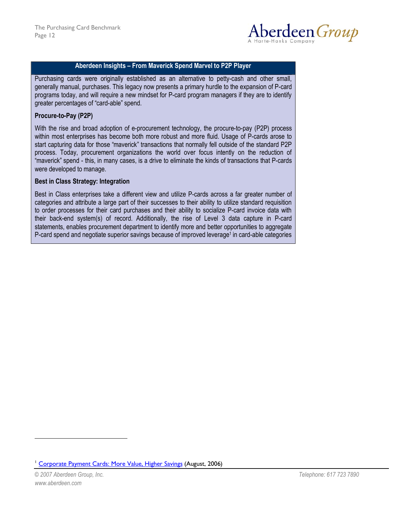

## **Aberdeen Insights - From Maverick Spend Marvel to P2P Player**

Purchasing cards were originally established as an alternative to petty-cash and other small, generally manual, purchases. This legacy now presents a primary hurdle to the expansion of P-card programs today, and will require a new mindset for P-card program managers if they are to identify greater percentages of "card-able" spend.

#### **Procure-to-Pay (P2P)**

With the rise and broad adoption of e-procurement technology, the procure-to-pay (P2P) process within most enterprises has become both more robust and more fluid. Usage of P-cards arose to start capturing data for those "maverick" transactions that normally fell outside of the standard P2P process. Today, procurement organizations the world over focus intently on the reduction of ìmaverickî spend - this, in many cases, is a drive to eliminate the kinds of transactions that P-cards were developed to manage.

#### **Best in Class Strategy: Integration**

Best in Class enterprises take a different view and utilize P-cards across a far greater number of categories and attribute a large part of their successes to their ability to utilize standard requisition to order processes for their card purchases and their ability to socialize P-card invoice data with their back-end system(s) of record. Additionally, the rise of Level 3 data capture in P-card statements, enables procurement department to identify more and better opportunities to aggregate P-card spend and negotiate superior savings because of improved leverage<sup>1</sup> in card-able categories

 $\overline{a}$ 

<sup>1</sup> Corporate Payment Cards: More Value, Higher Savings (August, 2006)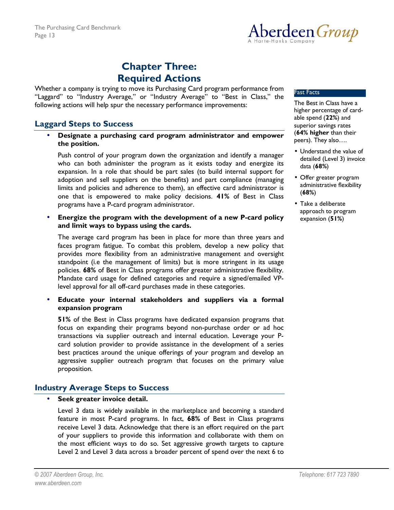

# **Chapter Three: Required Actions**

Whether a company is trying to move its Purchasing Card program performance from "Laggard" to "Industry Average," or "Industry Average" to "Best in Class," the following actions will help spur the necessary performance improvements:

# **Laggard Steps to Success**

• **Designate a purchasing card program administrator and empower the position.** 

Push control of your program down the organization and identify a manager who can both administer the program as it exists today and energize its expansion. In a role that should be part sales (to build internal support for adoption and sell suppliers on the benefits) and part compliance (managing limits and policies and adherence to them), an effective card administrator is one that is empowered to make policy decisions. **41%** of Best in Class programs have a P-card program administrator.

• **Energize the program with the development of a new P-card policy and limit ways to bypass using the cards.** 

The average card program has been in place for more than three years and faces program fatigue. To combat this problem, develop a new policy that provides more flexibility from an administrative management and oversight standpoint (i.e the management of limits) but is more stringent in its usage policies. **68%** of Best in Class programs offer greater administrative flexibility. Mandate card usage for defined categories and require a signed/emailed VPlevel approval for all off-card purchases made in these categories.

• **Educate your internal stakeholders and suppliers via a formal expansion program** 

**51%** of the Best in Class programs have dedicated expansion programs that focus on expanding their programs beyond non-purchase order or ad hoc transactions via supplier outreach and internal education. Leverage your Pcard solution provider to provide assistance in the development of a series best practices around the unique offerings of your program and develop an aggressive supplier outreach program that focuses on the primary value proposition.

# **Industry Average Steps to Success**

• **Seek greater invoice detail.** 

Level 3 data is widely available in the marketplace and becoming a standard feature in most P-card programs. In fact, **68%** of Best in Class programs receive Level 3 data. Acknowledge that there is an effort required on the part of your suppliers to provide this information and collaborate with them on the most efficient ways to do so. Set aggressive growth targets to capture Level 2 and Level 3 data across a broader percent of spend over the next 6 to

The Best in Class have a higher percentage of cardable spend (**22%**) and superior savings rates (**64% higher** than their peers). They also....

- Understand the value of detailed (Level 3) invoice data (**68%**)
- Offer greater program administrative flexibility (**68%**)
- Take a deliberate approach to program expansion (**51%**)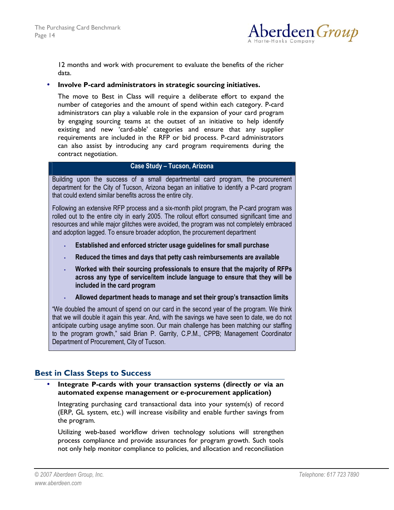

12 months and work with procurement to evaluate the benefits of the richer data.

#### • **Involve P-card administrators in strategic sourcing initiatives.**

 The move to Best in Class will require a deliberate effort to expand the number of categories and the amount of spend within each category. P-card administrators can play a valuable role in the expansion of your card program by engaging sourcing teams at the outset of an initiative to help identify existing and new 'card-able' categories and ensure that any supplier requirements are included in the RFP or bid process. P-card administrators can also assist by introducing any card program requirements during the contract negotiation.

# **Case Study - Tucson, Arizona**

Building upon the success of a small departmental card program, the procurement department for the City of Tucson, Arizona began an initiative to identify a P-card program that could extend similar benefits across the entire city.

Following an extensive RFP process and a six-month pilot program, the P-card program was rolled out to the entire city in early 2005. The rollout effort consumed significant time and resources and while major glitches were avoided, the program was not completely embraced and adoption lagged. To ensure broader adoption, the procurement department

- **Established and enforced stricter usage guidelines for small purchase**
- **Reduced the times and days that petty cash reimbursements are available**
- **Worked with their sourcing professionals to ensure that the majority of RFPs across any type of service/item include language to ensure that they will be included in the card program**
- **Allowed department heads to manage and set their groupís transaction limits**

ìWe doubled the amount of spend on our card in the second year of the program. We think that we will double it again this year. And, with the savings we have seen to date, we do not anticipate curbing usage anytime soon. Our main challenge has been matching our staffing to the program growth," said Brian P. Garrity, C.P.M., CPPB; Management Coordinator Department of Procurement, City of Tucson.

# **Best in Class Steps to Success**

## • **Integrate P-cards with your transaction systems (directly or via an automated expense management or e-procurement application)**

Integrating purchasing card transactional data into your system(s) of record (ERP, GL system, etc.) will increase visibility and enable further savings from the program.

Utilizing web-based workflow driven technology solutions will strengthen process compliance and provide assurances for program growth. Such tools not only help monitor compliance to policies, and allocation and reconciliation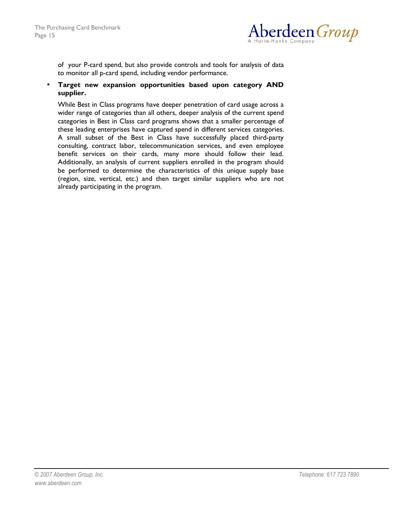

of your P-card spend, but also provide controls and tools for analysis of data to monitor all p-card spend, including vendor performance.

## • **Target new expansion opportunities based upon category AND supplier.**

While Best in Class programs have deeper penetration of card usage across a wider range of categories than all others, deeper analysis of the current spend categories in Best in Class card programs shows that a smaller percentage of these leading enterprises have captured spend in different services categories. A small subset of the Best in Class have successfully placed third-party consulting, contract labor, telecommunication services, and even employee benefit services on their cards, many more should follow their lead. Additionally, an analysis of current suppliers enrolled in the program should be performed to determine the characteristics of this unique supply base (region, size, vertical, etc.) and then target similar suppliers who are not already participating in the program.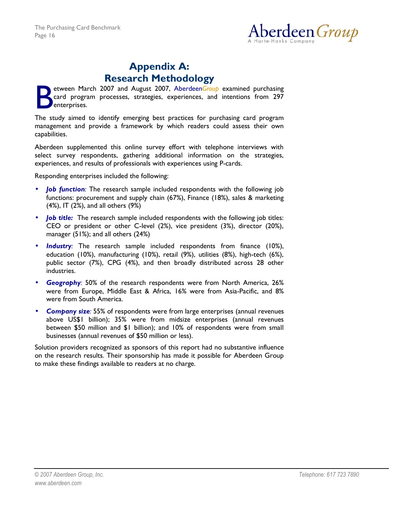

# **Appendix A: Research Methodology**

etween March 2007 and August 2007, Aberdeen*Group* examined purchasing card program processes, strategies, experiences, and intentions from 297 enterprises. B

The study aimed to identify emerging best practices for purchasing card program management and provide a framework by which readers could assess their own capabilities.

Aberdeen supplemented this online survey effort with telephone interviews with select survey respondents, gathering additional information on the strategies, experiences, and results of professionals with experiences using P-cards.

Responding enterprises included the following:

- **Job function**: The research sample included respondents with the following job functions: procurement and supply chain (67%), Finance (18%), sales & marketing (4%), IT (2%), and all others (9%)
- *Job title:* The research sample included respondents with the following job titles: CEO or president or other C-level (2%), vice president (3%), director (20%), manager (51%); and all others (24%)
- **Industry**: The research sample included respondents from finance (10%), education (10%), manufacturing (10%), retail (9%), utilities (8%), high-tech (6%), public sector (7%), CPG (4%), and then broadly distributed across 28 other industries.
- *Geography:* 50% of the research respondents were from North America, 26% were from Europe, Middle East & Africa, 16% were from Asia-Pacific, and 8% were from South America.
- *Company size:* 55% of respondents were from large enterprises (annual revenues above US\$1 billion); 35% were from midsize enterprises (annual revenues between \$50 million and \$1 billion); and 10% of respondents were from small businesses (annual revenues of \$50 million or less).

Solution providers recognized as sponsors of this report had no substantive influence on the research results. Their sponsorship has made it possible for Aberdeen Group to make these findings available to readers at no charge.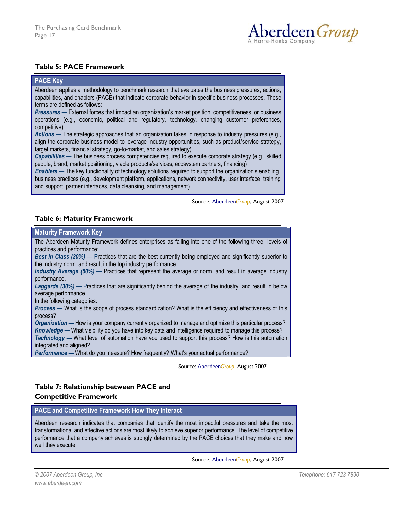

# **Table 5: PACE Framework**

#### **PACE Key**

Aberdeen applies a methodology to benchmark research that evaluates the business pressures, actions, capabilities, and enablers (PACE) that indicate corporate behavior in specific business processes. These terms are defined as follows:

*Pressures* – External forces that impact an organization's market position, competitiveness, or business operations (e.g., economic, political and regulatory, technology, changing customer preferences, competitive)

*Actions* – The strategic approaches that an organization takes in response to industry pressures (e.g., align the corporate business model to leverage industry opportunities, such as product/service strategy, target markets, financial strategy, go-to-market, and sales strategy)

*Capabilities* – The business process competencies required to execute corporate strategy (e.g., skilled people, brand, market positioning, viable products/services, ecosystem partners, financing)

*Enablers* — The key functionality of technology solutions required to support the organization's enabling business practices (e.g., development platform, applications, network connectivity, user interface, training and support, partner interfaces, data cleansing, and management)

Source: Aberdeen*Group*, August 2007

## **Table 6: Maturity Framework**

#### **Maturity Framework Key**

The Aberdeen Maturity Framework defines enterprises as falling into one of the following three levels of practices and performance:

*Best in Class (20%)* — Practices that are the best currently being employed and significantly superior to the industry norm, and result in the top industry performance.

*Industry Average* (50%) — Practices that represent the average or norm, and result in average industry performance.

Laggards (30%) – Practices that are significantly behind the average of the industry, and result in below average performance

In the following categories:

*Process* – What is the scope of process standardization? What is the efficiency and effectiveness of this process?

*Organization* – How is your company currently organized to manage and optimize this particular process? *Knowledge* – What visibility do you have into key data and intelligence required to manage this process? *Technology* – What level of automation have you used to support this process? How is this automation integrated and aligned?

**Performance** – What do you measure? How frequently? What's your actual performance?

Source: Aberdeen*Group*, August 2007

# **Table 7: Relationship between PACE and**

#### **Competitive Framework**

#### **PACE and Competitive Framework How They Interact**

Aberdeen research indicates that companies that identify the most impactful pressures and take the most transformational and effective actions are most likely to achieve superior performance. The level of competitive performance that a company achieves is strongly determined by the PACE choices that they make and how well they execute.

Source: Aberdeen*Group*, August 2007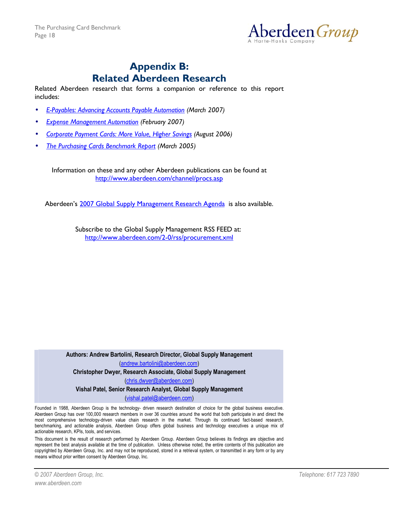

# **Appendix B: Related Aberdeen Research**

Related Aberdeen research that forms a companion or reference to this report includes:

- *E-Payables: Advancing Accounts Payable Automation (March 2007)*
- *Expense Management Automation (February 2007)*
- *Corporate Payment Cards: More Value, Higher Savings (August 2006)*
- *The Purchasing Cards Benchmark Report (March 2005)*

Information on these and any other Aberdeen publications can be found at http://www.aberdeen.com/channel/procs.asp

Aberdeen's 2007 Global Supply Management Research Agenda is also available.

Subscribe to the Global Supply Management RSS FEED at: http://www.aberdeen.com/2-0/rss/procurement.xml

**Authors: Andrew Bartolini, Research Director, Global Supply Management**  (andrew.bartolini@aberdeen.com) **Christopher Dwyer, Research Associate, Global Supply Management**  (chris.dwyer@aberdeen.com) **Vishal Patel, Senior Research Analyst, Global Supply Management**  (vishal.patel@aberdeen.com) Founded in 1988, Aberdeen Group is the technology- driven research destination of choice for the global business executive.

Aberdeen Group has over 100,000 research members in over 36 countries around the world that both participate in and direct the most comprehensive technology-driven value chain research in the market. Through its continued fact-based research, benchmarking, and actionable analysis, Aberdeen Group offers global business and technology executives a unique mix of actionable research, KPIs, tools, and services.

This document is the result of research performed by Aberdeen Group. Aberdeen Group believes its findings are objective and represent the best analysis available at the time of publication. Unless otherwise noted, the entire contents of this publication are copyrighted by Aberdeen Group, Inc. and may not be reproduced, stored in a retrieval system, or transmitted in any form or by any means without prior written consent by Aberdeen Group, Inc.